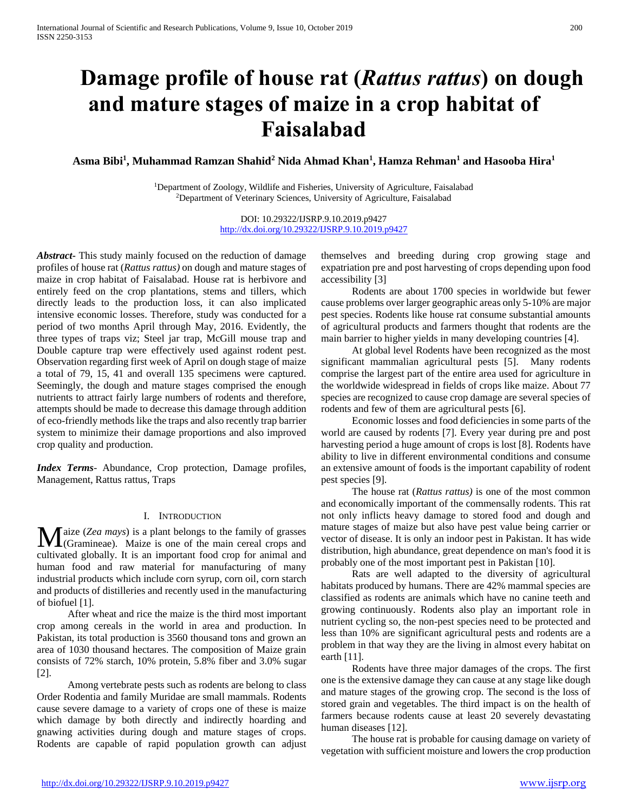# **Damage profile of house rat (***Rattus rattus***) on dough and mature stages of maize in a crop habitat of Faisalabad**

**Asma Bibi<sup>1</sup> , Muhammad Ramzan Shahid<sup>2</sup> Nida Ahmad Khan<sup>1</sup> , Hamza Rehman<sup>1</sup> and Hasooba Hira<sup>1</sup>**

<sup>1</sup>Department of Zoology, Wildlife and Fisheries, University of Agriculture, Faisalabad <sup>2</sup>Department of Veterinary Sciences, University of Agriculture, Faisalabad

> DOI: 10.29322/IJSRP.9.10.2019.p9427 <http://dx.doi.org/10.29322/IJSRP.9.10.2019.p9427>

*Abstract***-** This study mainly focused on the reduction of damage profiles of house rat (*Rattus rattus)* on dough and mature stages of maize in crop habitat of Faisalabad. House rat is herbivore and entirely feed on the crop plantations, stems and tillers, which directly leads to the production loss, it can also implicated intensive economic losses. Therefore, study was conducted for a period of two months April through May, 2016. Evidently, the three types of traps viz; Steel jar trap, McGill mouse trap and Double capture trap were effectively used against rodent pest. Observation regarding first week of April on dough stage of maize a total of 79, 15, 41 and overall 135 specimens were captured. Seemingly, the dough and mature stages comprised the enough nutrients to attract fairly large numbers of rodents and therefore, attempts should be made to decrease this damage through addition of eco-friendly methods like the traps and also recently trap barrier system to minimize their damage proportions and also improved crop quality and production.

*Index Terms*- Abundance, Crop protection, Damage profiles, Management, Rattus rattus, Traps

# I. INTRODUCTION

aize (*Zea mays*) is a plant belongs to the family of grasses Maize (Zea mays) is a plant belongs to the family of grasses (Gramineae). Maize is one of the main cereal crops and cultivated globally. It is an important food crop for animal and human food and raw material for manufacturing of many industrial products which include corn syrup, corn oil, corn starch and products of distilleries and recently used in the manufacturing of biofuel [1].

 After wheat and rice the maize is the third most important crop among cereals in the world in area and production. In Pakistan, its total production is 3560 thousand tons and grown an area of 1030 thousand hectares. The composition of Maize grain consists of 72% starch, 10% protein, 5.8% fiber and 3.0% sugar [2].

 Among vertebrate pests such as rodents are belong to class Order Rodentia and family Muridae are small mammals. Rodents cause severe damage to a variety of crops one of these is maize which damage by both directly and indirectly hoarding and gnawing activities during dough and mature stages of crops. Rodents are capable of rapid population growth can adjust

themselves and breeding during crop growing stage and expatriation pre and post harvesting of crops depending upon food accessibility [3]

 Rodents are about 1700 species in worldwide but fewer cause problems over larger geographic areas only 5-10% are major pest species. Rodents like house rat consume substantial amounts of agricultural products and farmers thought that rodents are the main barrier to higher yields in many developing countries [4].

 At global level Rodents have been recognized as the most significant mammalian agricultural pests [5]. Many rodents comprise the largest part of the entire area used for agriculture in the worldwide widespread in fields of crops like maize. About 77 species are recognized to cause crop damage are several species of rodents and few of them are agricultural pests [6].

 Economic losses and food deficiencies in some parts of the world are caused by rodents [7]. Every year during pre and post harvesting period a huge amount of crops is lost [8]. Rodents have ability to live in different environmental conditions and consume an extensive amount of foods is the important capability of rodent pest species [9].

 The house rat (*Rattus rattus)* is one of the most common and economically important of the commensally rodents. This rat not only inflicts heavy damage to stored food and dough and mature stages of maize but also have pest value being carrier or vector of disease. It is only an indoor pest in Pakistan. It has wide distribution, high abundance, great dependence on man's food it is probably one of the most important pest in Pakistan [10].

 Rats are well adapted to the diversity of agricultural habitats produced by humans. There are 42% mammal species are classified as rodents are animals which have no canine teeth and growing continuously. Rodents also play an important role in nutrient cycling so, the non-pest species need to be protected and less than 10% are significant agricultural pests and rodents are a problem in that way they are the living in almost every habitat on earth [11].

 Rodents have three major damages of the crops. The first one is the extensive damage they can cause at any stage like dough and mature stages of the growing crop. The second is the loss of stored grain and vegetables. The third impact is on the health of farmers because rodents cause at least 20 severely devastating human diseases [12].

 The house rat is probable for causing damage on variety of vegetation with sufficient moisture and lowers the crop production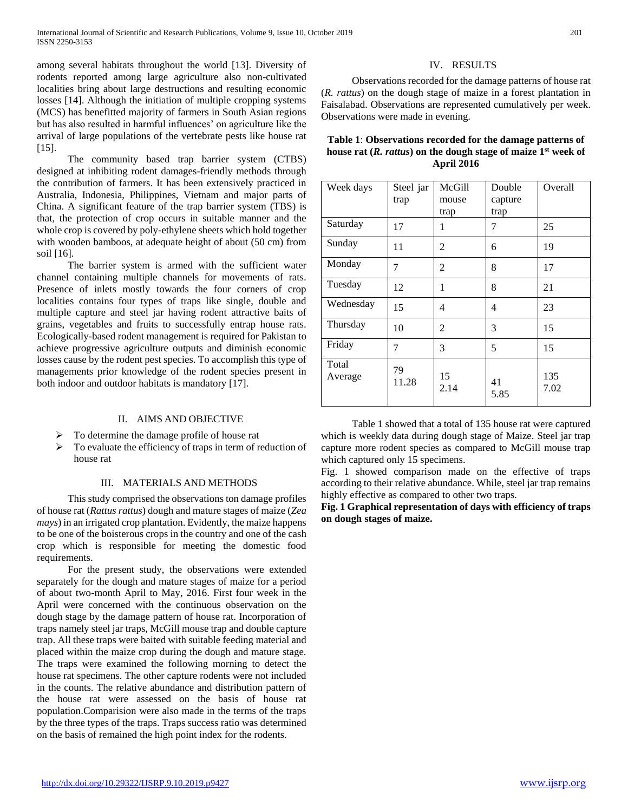among several habitats throughout the world [13]. Diversity of rodents reported among large agriculture also non-cultivated localities bring about large destructions and resulting economic losses [14]. Although the initiation of multiple cropping systems (MCS) has benefitted majority of farmers in South Asian regions but has also resulted in harmful influences' on agriculture like the arrival of large populations of the vertebrate pests like house rat [15].

 The community based trap barrier system (CTBS) designed at inhibiting rodent damages-friendly methods through the contribution of farmers. It has been extensively practiced in Australia, Indonesia, Philippines, Vietnam and major parts of China. A significant feature of the trap barrier system (TBS) is that, the protection of crop occurs in suitable manner and the whole crop is covered by poly-ethylene sheets which hold together with wooden bamboos, at adequate height of about (50 cm) from soil [16].

 The barrier system is armed with the sufficient water channel containing multiple channels for movements of rats. Presence of inlets mostly towards the four corners of crop localities contains four types of traps like single, double and multiple capture and steel jar having rodent attractive baits of grains, vegetables and fruits to successfully entrap house rats. Ecologically-based rodent management is required for Pakistan to achieve progressive agriculture outputs and diminish economic losses cause by the rodent pest species. To accomplish this type of managements prior knowledge of the rodent species present in both indoor and outdoor habitats is mandatory [17].

# II. AIMS AND OBJECTIVE

- To determine the damage profile of house rat
- $\triangleright$  To evaluate the efficiency of traps in term of reduction of house rat

#### III. MATERIALS AND METHODS

 This study comprised the observations ton damage profiles of house rat (*Rattus rattus*) dough and mature stages of maize (*Zea mays*) in an irrigated crop plantation. Evidently, the maize happens to be one of the boisterous crops in the country and one of the cash crop which is responsible for meeting the domestic food requirements.

 For the present study, the observations were extended separately for the dough and mature stages of maize for a period of about two-month April to May, 2016. First four week in the April were concerned with the continuous observation on the dough stage by the damage pattern of house rat. Incorporation of traps namely steel jar traps, McGill mouse trap and double capture trap. All these traps were baited with suitable feeding material and placed within the maize crop during the dough and mature stage. The traps were examined the following morning to detect the house rat specimens. The other capture rodents were not included in the counts. The relative abundance and distribution pattern of the house rat were assessed on the basis of house rat population.Comparision were also made in the terms of the traps by the three types of the traps. Traps success ratio was determined on the basis of remained the high point index for the rodents.

# IV. RESULTS

 Observations recorded for the damage patterns of house rat (*R. rattus*) on the dough stage of maize in a forest plantation in Faisalabad. Observations are represented cumulatively per week. Observations were made in evening.

# **Table 1**: **Observations recorded for the damage patterns of house rat (***R. rattus***) on the dough stage of maize 1st week of April 2016**

| Week days        | Steel jar<br>trap | McGill<br>mouse | Double<br>capture | Overall     |
|------------------|-------------------|-----------------|-------------------|-------------|
|                  |                   | trap            | trap              |             |
| Saturday         | 17                | 1               | 7                 | 25          |
| Sunday           | 11                | 2               | 6                 | 19          |
| Monday           | 7                 | 2               | 8                 | 17          |
| Tuesday          | 12                | 1               | 8                 | 21          |
| Wednesday        | 15                | 4               | 4                 | 23          |
| Thursday         | 10                | 2               | 3                 | 15          |
| Friday           | 7                 | 3               | 5                 | 15          |
| Total<br>Average | 79<br>11.28       | 15<br>2.14      | 41<br>5.85        | 135<br>7.02 |

 Table 1 showed that a total of 135 house rat were captured which is weekly data during dough stage of Maize. Steel jar trap capture more rodent species as compared to McGill mouse trap which captured only 15 specimens.

Fig. 1 showed comparison made on the effective of traps according to their relative abundance. While, steel jar trap remains highly effective as compared to other two traps.

# **Fig. 1 Graphical representation of days with efficiency of traps on dough stages of maize.**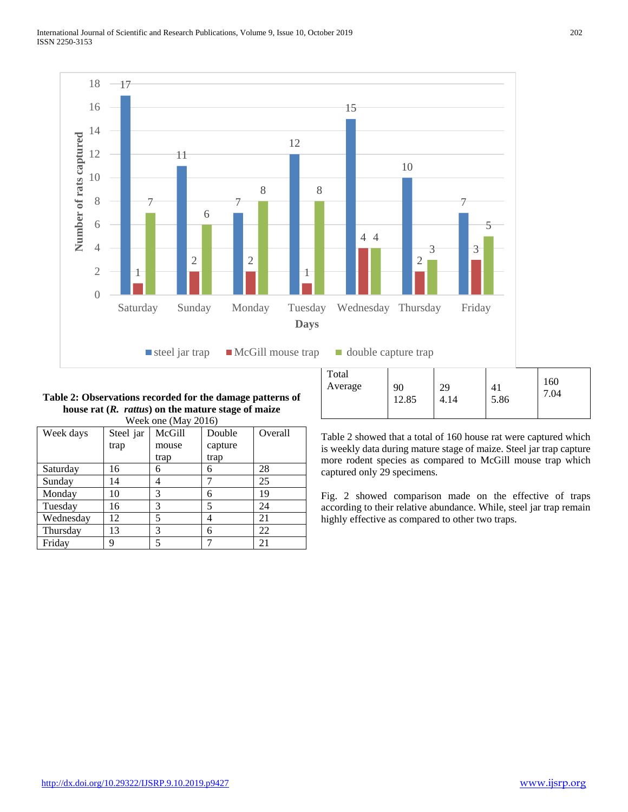

#### **Table 2: Observations recorded for the damage patterns of house rat (***R. rattus***) on the mature stage of maize** Week one (May 2016)

| Week days | Steel jar | McGill | Double  | Overall |
|-----------|-----------|--------|---------|---------|
|           | trap      | mouse  | capture |         |
|           |           | trap   | trap    |         |
| Saturday  | 16        | 6      | 6       | 28      |
| Sunday    | 14        |        |         | 25      |
| Monday    | 10        | 3      | 6       | 19      |
| Tuesday   | 16        | 3      | 5       | 24      |
| Wednesday | 12        | 5      |         | 21      |
| Thursday  | 13        | 3      | 6       | 22      |
| Friday    | q         |        |         | 21      |

| Total   | 90   | 29   | 41   | 160  |
|---------|------|------|------|------|
| Average | 2.85 | 4.14 | 5.86 | 1.04 |

Table 2 showed that a total of 160 house rat were captured which is weekly data during mature stage of maize. Steel jar trap capture more rodent species as compared to McGill mouse trap which captured only 29 specimens.

Fig. 2 showed comparison made on the effective of traps according to their relative abundance. While, steel jar trap remain highly effective as compared to other two traps.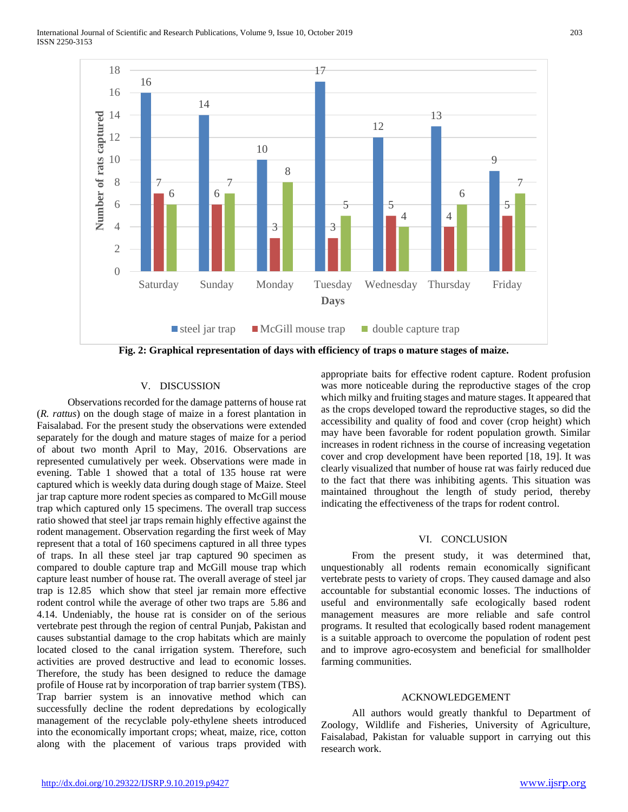

# V. DISCUSSION

 Observations recorded for the damage patterns of house rat (*R. rattus*) on the dough stage of maize in a forest plantation in Faisalabad. For the present study the observations were extended separately for the dough and mature stages of maize for a period of about two month April to May, 2016. Observations are represented cumulatively per week. Observations were made in evening. Table 1 showed that a total of 135 house rat were captured which is weekly data during dough stage of Maize. Steel jar trap capture more rodent species as compared to McGill mouse trap which captured only 15 specimens. The overall trap success ratio showed that steel jar traps remain highly effective against the rodent management. Observation regarding the first week of May represent that a total of 160 specimens captured in all three types of traps. In all these steel jar trap captured 90 specimen as compared to double capture trap and McGill mouse trap which capture least number of house rat. The overall average of steel jar trap is 12.85 which show that steel jar remain more effective rodent control while the average of other two traps are 5.86 and 4.14. Undeniably, the house rat is consider on of the serious vertebrate pest through the region of central Punjab, Pakistan and causes substantial damage to the crop habitats which are mainly located closed to the canal irrigation system. Therefore, such activities are proved destructive and lead to economic losses. Therefore, the study has been designed to reduce the damage profile of House rat by incorporation of trap barrier system (TBS). Trap barrier system is an innovative method which can successfully decline the rodent depredations by ecologically management of the recyclable poly-ethylene sheets introduced into the economically important crops; wheat, maize, rice, cotton along with the placement of various traps provided with appropriate baits for effective rodent capture. Rodent profusion was more noticeable during the reproductive stages of the crop which milky and fruiting stages and mature stages. It appeared that as the crops developed toward the reproductive stages, so did the accessibility and quality of food and cover (crop height) which may have been favorable for rodent population growth. Similar increases in rodent richness in the course of increasing vegetation cover and crop development have been reported [18, 19]. It was clearly visualized that number of house rat was fairly reduced due to the fact that there was inhibiting agents. This situation was maintained throughout the length of study period, thereby indicating the effectiveness of the traps for rodent control.

#### VI. CONCLUSION

 From the present study, it was determined that, unquestionably all rodents remain economically significant vertebrate pests to variety of crops. They caused damage and also accountable for substantial economic losses. The inductions of useful and environmentally safe ecologically based rodent management measures are more reliable and safe control programs. It resulted that ecologically based rodent management is a suitable approach to overcome the population of rodent pest and to improve agro-ecosystem and beneficial for smallholder farming communities.

#### ACKNOWLEDGEMENT

 All authors would greatly thankful to Department of Zoology, Wildlife and Fisheries, University of Agriculture, Faisalabad, Pakistan for valuable support in carrying out this research work.